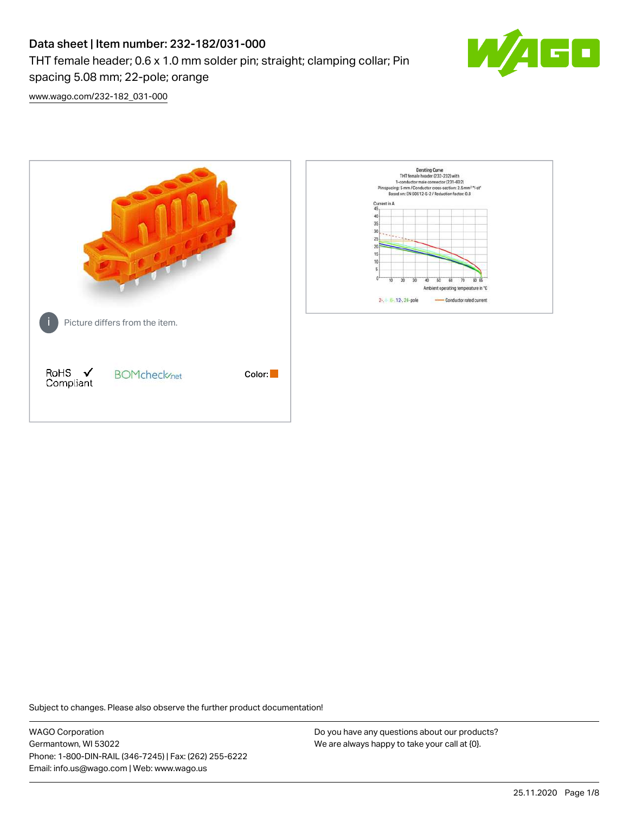# Data sheet | Item number: 232-182/031-000 THT female header; 0.6 x 1.0 mm solder pin; straight; clamping collar; Pin spacing 5.08 mm; 22-pole; orange



[www.wago.com/232-182\\_031-000](http://www.wago.com/232-182_031-000)



Subject to changes. Please also observe the further product documentation!

WAGO Corporation Germantown, WI 53022 Phone: 1-800-DIN-RAIL (346-7245) | Fax: (262) 255-6222 Email: info.us@wago.com | Web: www.wago.us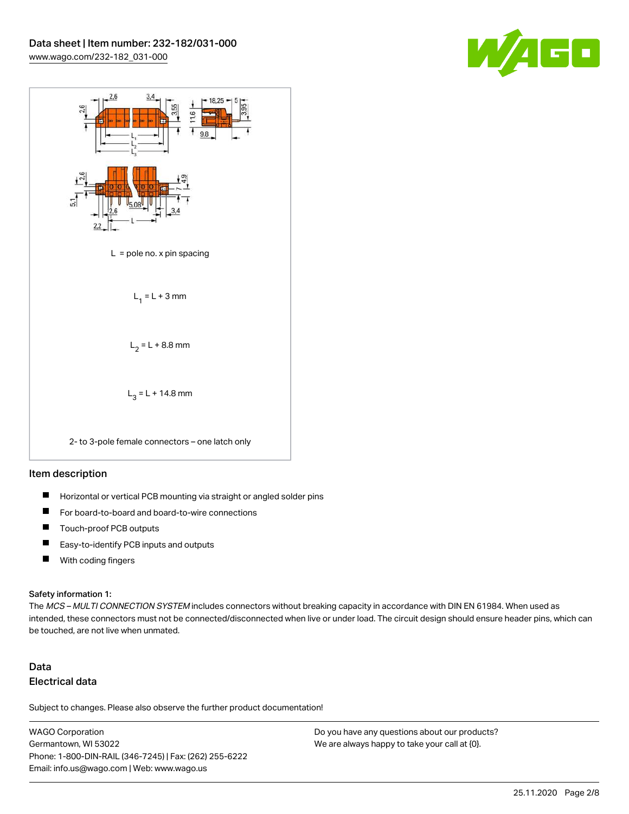



#### Item description

- $\blacksquare$ Horizontal or vertical PCB mounting via straight or angled solder pins
- П For board-to-board and board-to-wire connections
- $\blacksquare$ Touch-proof PCB outputs
- $\blacksquare$ Easy-to-identify PCB inputs and outputs
- $\blacksquare$ With coding fingers

#### Safety information 1:

The MCS - MULTI CONNECTION SYSTEM includes connectors without breaking capacity in accordance with DIN EN 61984. When used as intended, these connectors must not be connected/disconnected when live or under load. The circuit design should ensure header pins, which can be touched, are not live when unmated.

## Data Electrical data

Subject to changes. Please also observe the further product documentation!

WAGO Corporation Germantown, WI 53022 Phone: 1-800-DIN-RAIL (346-7245) | Fax: (262) 255-6222 Email: info.us@wago.com | Web: www.wago.us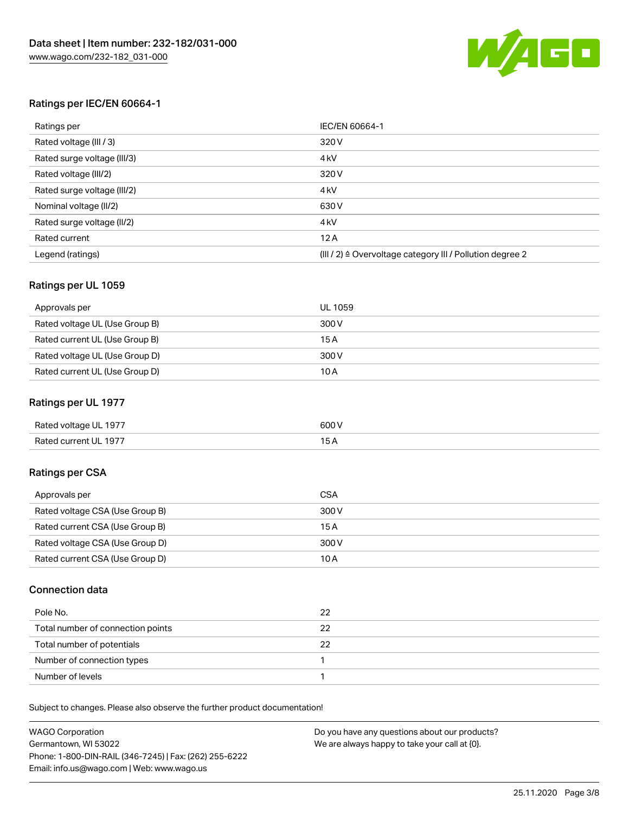

## Ratings per IEC/EN 60664-1

| Ratings per                 | IEC/EN 60664-1                                                        |
|-----------------------------|-----------------------------------------------------------------------|
| Rated voltage (III / 3)     | 320 V                                                                 |
| Rated surge voltage (III/3) | 4 <sub>k</sub> V                                                      |
| Rated voltage (III/2)       | 320 V                                                                 |
| Rated surge voltage (III/2) | 4 <sub>k</sub> V                                                      |
| Nominal voltage (II/2)      | 630 V                                                                 |
| Rated surge voltage (II/2)  | 4 <sub>k</sub> V                                                      |
| Rated current               | 12A                                                                   |
| Legend (ratings)            | $(III / 2)$ $\triangle$ Overvoltage category III / Pollution degree 2 |

## Ratings per UL 1059

| Approvals per                  | UL 1059 |
|--------------------------------|---------|
| Rated voltage UL (Use Group B) | 300 V   |
| Rated current UL (Use Group B) | 15 A    |
| Rated voltage UL (Use Group D) | 300 V   |
| Rated current UL (Use Group D) | 10A     |

## Ratings per UL 1977

| Rated voltage UL 1977 | 600 <sup>V</sup><br>. |
|-----------------------|-----------------------|
| Rated current UL 1977 |                       |

## Ratings per CSA

| Approvals per                   | CSA   |
|---------------------------------|-------|
| Rated voltage CSA (Use Group B) | 300 V |
| Rated current CSA (Use Group B) | 15 A  |
| Rated voltage CSA (Use Group D) | 300 V |
| Rated current CSA (Use Group D) | 10 A  |

## Connection data

| Pole No.                          | 22 |
|-----------------------------------|----|
| Total number of connection points | 22 |
| Total number of potentials        | 22 |
| Number of connection types        |    |
| Number of levels                  |    |

| <b>WAGO Corporation</b>                                | Do you have any questions about our products? |
|--------------------------------------------------------|-----------------------------------------------|
| Germantown, WI 53022                                   | We are always happy to take your call at {0}. |
| Phone: 1-800-DIN-RAIL (346-7245)   Fax: (262) 255-6222 |                                               |
| Email: info.us@wago.com   Web: www.wago.us             |                                               |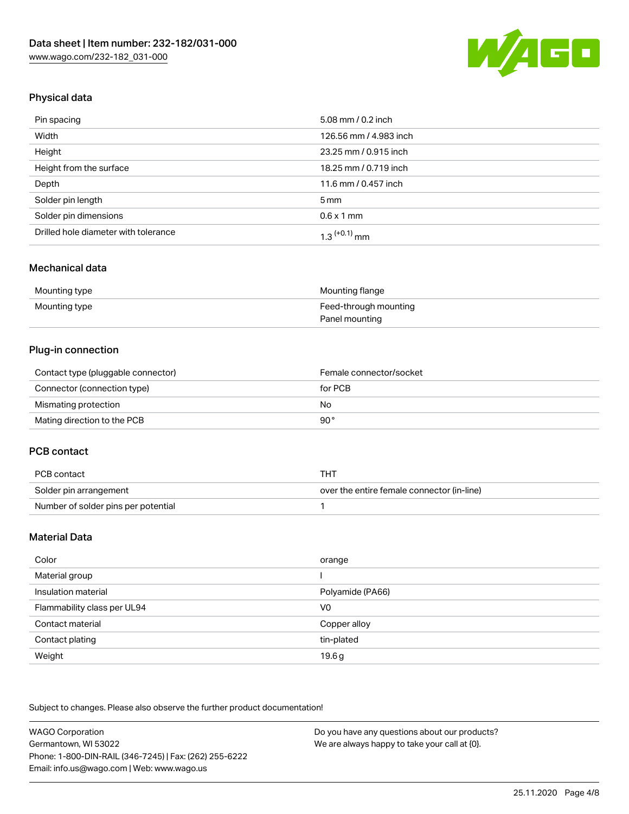

## Physical data

| Pin spacing                          | 5.08 mm / 0.2 inch     |
|--------------------------------------|------------------------|
| Width                                | 126.56 mm / 4.983 inch |
| Height                               | 23.25 mm / 0.915 inch  |
| Height from the surface              | 18.25 mm / 0.719 inch  |
| Depth                                | 11.6 mm / 0.457 inch   |
| Solder pin length                    | $5 \,\mathrm{mm}$      |
| Solder pin dimensions                | $0.6 \times 1$ mm      |
| Drilled hole diameter with tolerance | $1.3$ $(+0.1)$ mm      |

## Mechanical data

| Mounting type | Mounting flange       |
|---------------|-----------------------|
| Mounting type | Feed-through mounting |
|               | Panel mounting        |

## Plug-in connection

| Contact type (pluggable connector) | Female connector/socket |
|------------------------------------|-------------------------|
| Connector (connection type)        | for PCB                 |
| Mismating protection               | No                      |
| Mating direction to the PCB        | 90°                     |

## PCB contact

| PCB contact                         | THT                                        |
|-------------------------------------|--------------------------------------------|
| Solder pin arrangement              | over the entire female connector (in-line) |
| Number of solder pins per potential |                                            |

## Material Data

| Color                       | orange           |
|-----------------------------|------------------|
| Material group              |                  |
| Insulation material         | Polyamide (PA66) |
| Flammability class per UL94 | V <sub>0</sub>   |
| Contact material            | Copper alloy     |
| Contact plating             | tin-plated       |
| Weight                      | 19.6g            |

| WAGO Corporation                                       | Do you have any questions about our products? |
|--------------------------------------------------------|-----------------------------------------------|
| Germantown. WI 53022                                   | We are always happy to take your call at {0}. |
| Phone: 1-800-DIN-RAIL (346-7245)   Fax: (262) 255-6222 |                                               |
| Email: info.us@wago.com   Web: www.wago.us             |                                               |
|                                                        |                                               |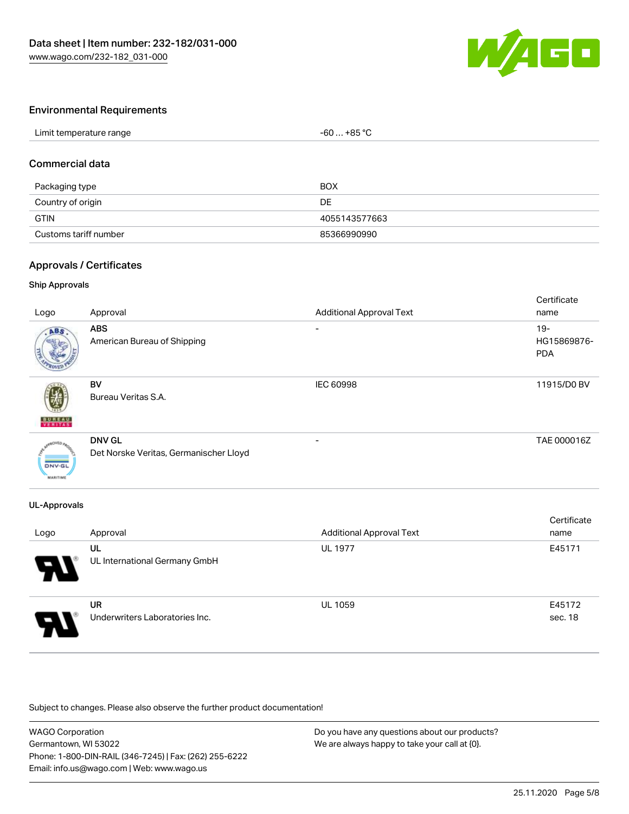

## Environmental Requirements

## Commercial data

| Packaging type        | <b>BOX</b>    |
|-----------------------|---------------|
| Country of origin     | DE            |
| <b>GTIN</b>           | 4055143577663 |
| Customs tariff number | 85366990990   |

## Approvals / Certificates

#### Ship Approvals

| Logo                             | Approval                                                | <b>Additional Approval Text</b> | Certificate<br>name                 |
|----------------------------------|---------------------------------------------------------|---------------------------------|-------------------------------------|
| ABS.                             | <b>ABS</b><br>American Bureau of Shipping               |                                 | $19 -$<br>HG15869876-<br><b>PDA</b> |
| <b>BUREAU</b>                    | BV<br>Bureau Veritas S.A.                               | IEC 60998                       | 11915/D0 BV                         |
| <b>DNV-GL</b><br><b>MARITIME</b> | <b>DNV GL</b><br>Det Norske Veritas, Germanischer Lloyd | -                               | TAE 000016Z                         |

#### UL-Approvals

| Logo | Approval                                    | <b>Additional Approval Text</b> | Certificate<br>name |
|------|---------------------------------------------|---------------------------------|---------------------|
| Э.   | UL<br>UL International Germany GmbH         | <b>UL 1977</b>                  | E45171              |
| 8    | <b>UR</b><br>Underwriters Laboratories Inc. | <b>UL 1059</b>                  | E45172<br>sec. 18   |

| <b>WAGO Corporation</b>                                | Do you have any questions about our products? |
|--------------------------------------------------------|-----------------------------------------------|
| Germantown, WI 53022                                   | We are always happy to take your call at {0}. |
| Phone: 1-800-DIN-RAIL (346-7245)   Fax: (262) 255-6222 |                                               |
| Email: info.us@wago.com   Web: www.wago.us             |                                               |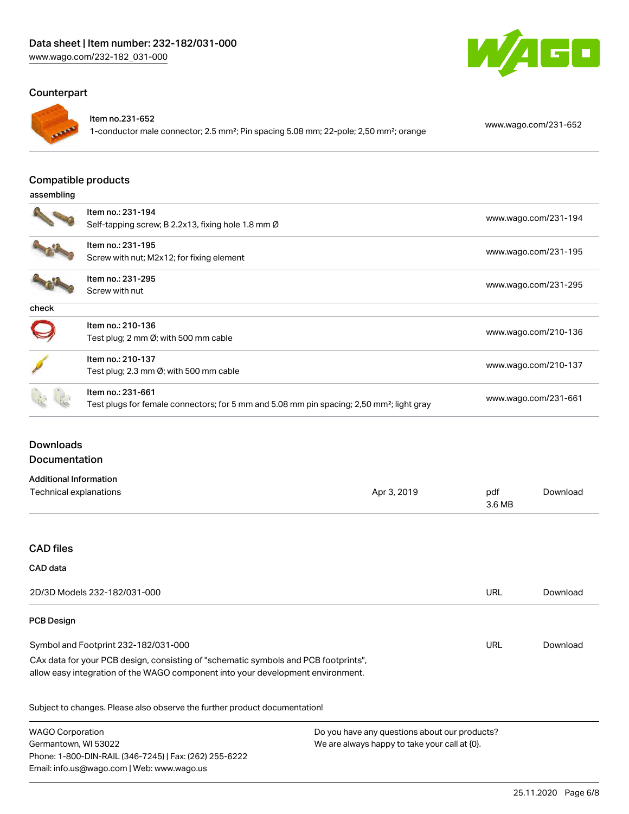## Counterpart



#### Item no.231-652

1-conductor male connector; 2.5 mm²; Pin spacing 5.08 mm; 22-pole; 2,50 mm²; orange [www.wago.com/231-652](https://www.wago.com/231-652)

W

GO

#### Compatible products

#### assembling

|       | Item no.: 231-194                                                                                     | www.wago.com/231-194 |
|-------|-------------------------------------------------------------------------------------------------------|----------------------|
|       | Self-tapping screw; B 2.2x13, fixing hole 1.8 mm Ø                                                    |                      |
|       | Item no.: 231-195                                                                                     |                      |
|       | Screw with nut; M2x12; for fixing element                                                             | www.wago.com/231-195 |
|       | Item no.: 231-295                                                                                     |                      |
|       | Screw with nut                                                                                        | www.wago.com/231-295 |
| check |                                                                                                       |                      |
|       | Item no.: 210-136                                                                                     |                      |
|       | Test plug; 2 mm $\varnothing$ ; with 500 mm cable                                                     | www.wago.com/210-136 |
|       | Item no.: 210-137                                                                                     |                      |
|       | Test plug; 2.3 mm Ø; with 500 mm cable                                                                | www.wago.com/210-137 |
|       | Item no.: 231-661                                                                                     |                      |
|       | Test plugs for female connectors; for 5 mm and 5.08 mm pin spacing; 2,50 mm <sup>2</sup> ; light gray | www.wago.com/231-661 |

## Downloads Documentation

| Additional Information |             |        |          |
|------------------------|-------------|--------|----------|
| Technical explanations | Apr 3, 2019 | pdf    | Download |
|                        |             | 3.6 MB |          |

## CAD files

#### CAD data

| 2D/3D Models 232-182/031-000                                                                                                                                           | URL | Download |
|------------------------------------------------------------------------------------------------------------------------------------------------------------------------|-----|----------|
| <b>PCB Design</b>                                                                                                                                                      |     |          |
| Symbol and Footprint 232-182/031-000                                                                                                                                   | URL | Download |
| CAx data for your PCB design, consisting of "schematic symbols and PCB footprints",<br>allow easy integration of the WAGO component into your development environment. |     |          |

| <b>WAGO Corporation</b>                                | Do you have any questions about our products? |  |
|--------------------------------------------------------|-----------------------------------------------|--|
| Germantown, WI 53022                                   | We are always happy to take your call at {0}. |  |
| Phone: 1-800-DIN-RAIL (346-7245)   Fax: (262) 255-6222 |                                               |  |
| Email: info.us@wago.com   Web: www.wago.us             |                                               |  |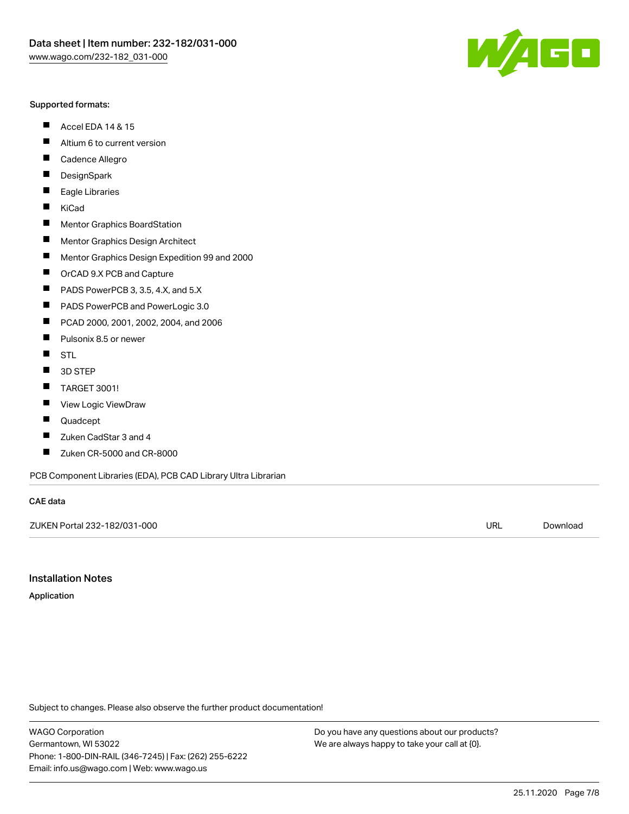#### Supported formats:

- $\blacksquare$ Accel EDA 14 & 15
- $\blacksquare$ Altium 6 to current version
- $\blacksquare$ Cadence Allegro
- $\blacksquare$ **DesignSpark**
- $\blacksquare$ Eagle Libraries
- $\blacksquare$ KiCad
- $\blacksquare$ Mentor Graphics BoardStation
- $\blacksquare$ Mentor Graphics Design Architect
- $\blacksquare$ Mentor Graphics Design Expedition 99 and 2000
- $\blacksquare$ OrCAD 9.X PCB and Capture
- $\blacksquare$ PADS PowerPCB 3, 3.5, 4.X, and 5.X
- $\blacksquare$ PADS PowerPCB and PowerLogic 3.0
- $\blacksquare$ PCAD 2000, 2001, 2002, 2004, and 2006
- $\blacksquare$ Pulsonix 8.5 or newer
- $\blacksquare$ STL
- 3D STEP П
- $\blacksquare$ TARGET 3001!
- $\blacksquare$ View Logic ViewDraw
- $\blacksquare$ Quadcept
- $\blacksquare$ Zuken CadStar 3 and 4
- Zuken CR-5000 and CR-8000 П

PCB Component Libraries (EDA), PCB CAD Library Ultra Librarian

#### CAE data

ZUKEN Portal 232-182/031-000 URL [Download](https://www.wago.com/us/d/Zuken_URLS_232-182_031-000)

Installation Notes

Application

Subject to changes. Please also observe the further product documentation!

WAGO Corporation Germantown, WI 53022 Phone: 1-800-DIN-RAIL (346-7245) | Fax: (262) 255-6222 Email: info.us@wago.com | Web: www.wago.us